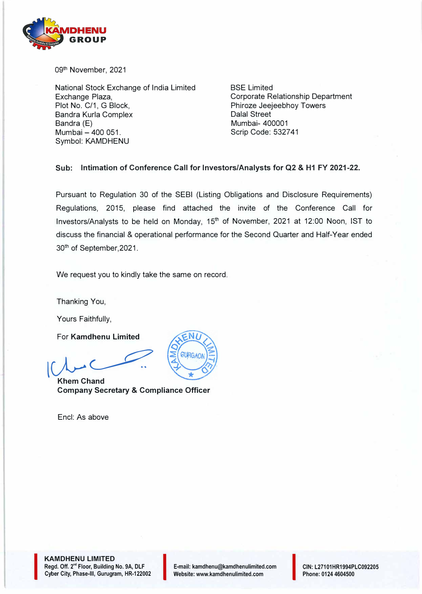

09<sup>th</sup> November, 2021

National Stock Exchange of India Limited Exchange Plaza, Plot No. C/1, G Block, Sandra Kurla Complex Bandra (E) Mumbai - 400 051. Symbol: KAMDHENU

BSE Limited Corporate Relationship Department Phiroze Jeejeebhoy Towers Dalal Street Mumbai- 400001 Scrip Code: 532741

#### **Sub: Intimation of Conference Call for Investors/Analysts for Q2 & H1 FY 2021-22.**

Pursuant to Regulation 30 of the SEBI (Listing Obligations and Disclosure Requirements) Regulations, 2015, please find attached the invite of the Conference Call for Investors/Analysts to be held on Monday, 15<sup>th</sup> of November, 2021 at 12:00 Noon, IST to discuss the financial & operational performance for the Second Quarter and Half-Year ended 30th of September,2021.

We request you to kindly take the same on record.

Thanking You,

Yours Faithfully,

For **Kamdhenu Limited** 

Khem Chand **With Chand** 

**Company Secretary & Compliance Officer** 

Encl: As above



**KAMDHENU LIMITED**  Regd. Off. 2<sup>nd</sup> Floor, Building No. 9A, DLF **KAMDHENU LIMITED<br>Regd. Off. 2<sup>nd</sup> Floor, Building No. 9A, DLF<br>Cyber City, Phase-III, Gurugram, HR-122002** 

I

CIN: L27101HR1994PLC092205 Phone: 0124 4604500